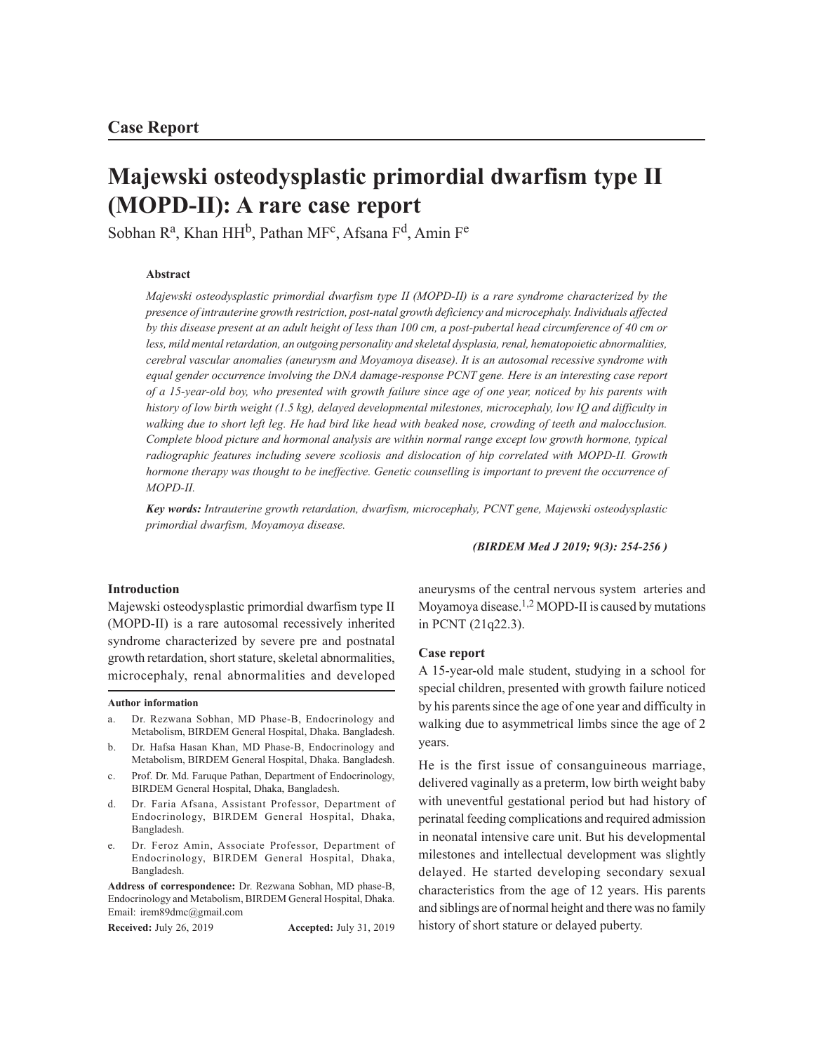# **Majewski osteodysplastic primordial dwarfism type II (MOPD-II): A rare case report**

Sobhan R<sup>a</sup>, Khan HH<sup>b</sup>, Pathan MF<sup>c</sup>, Afsana F<sup>d</sup>, Amin F<sup>e</sup>

## **Abstract**

*Majewski osteodysplastic primordial dwarfism type II (MOPD-II) is a rare syndrome characterized by the presence of intrauterine growth restriction, post-natal growth deficiency and microcephaly. Individuals affected by this disease present at an adult height of less than 100 cm, a post-pubertal head circumference of 40 cm or less, mild mental retardation, an outgoing personality and skeletal dysplasia, renal, hematopoietic abnormalities, cerebral vascular anomalies (aneurysm and Moyamoya disease). It is an autosomal recessive syndrome with equal gender occurrence involving the DNA damage-response PCNT gene. Here is an interesting case report of a 15-year-old boy, who presented with growth failure since age of one year, noticed by his parents with history of low birth weight (1.5 kg), delayed developmental milestones, microcephaly, low IQ and difficulty in walking due to short left leg. He had bird like head with beaked nose, crowding of teeth and malocclusion. Complete blood picture and hormonal analysis are within normal range except low growth hormone, typical radiographic features including severe scoliosis and dislocation of hip correlated with MOPD-II. Growth hormone therapy was thought to be ineffective. Genetic counselling is important to prevent the occurrence of MOPD-II.*

*Key words: Intrauterine growth retardation, dwarfism, microcephaly, PCNT gene, Majewski osteodysplastic primordial dwarfism, Moyamoya disease.*

*(BIRDEM Med J 2019; 9(3): 254-256 )*

#### **Introduction**

Majewski osteodysplastic primordial dwarfism type II (MOPD-II) is a rare autosomal recessively inherited syndrome characterized by severe pre and postnatal growth retardation, short stature, skeletal abnormalities, microcephaly, renal abnormalities and developed

#### **Author information**

- a. Dr. Rezwana Sobhan, MD Phase-B, Endocrinology and Metabolism, BIRDEM General Hospital, Dhaka. Bangladesh.
- b. Dr. Hafsa Hasan Khan, MD Phase-B, Endocrinology and Metabolism, BIRDEM General Hospital, Dhaka. Bangladesh.
- c. Prof. Dr. Md. Faruque Pathan, Department of Endocrinology, BIRDEM General Hospital, Dhaka, Bangladesh.
- d. Dr. Faria Afsana, Assistant Professor, Department of Endocrinology, BIRDEM General Hospital, Dhaka, Bangladesh.
- Dr. Feroz Amin, Associate Professor, Department of Endocrinology, BIRDEM General Hospital, Dhaka, Bangladesh.

**Address of correspondence:** Dr. Rezwana Sobhan, MD phase-B, Endocrinology and Metabolism, BIRDEM General Hospital, Dhaka. Email: irem89dmc@gmail.com

**Received:** July 26, 2019 **Accepted:** July 31, 2019

aneurysms of the central nervous system arteries and Moyamoya disease.1,2 MOPD-II is caused by mutations in PCNT (21q22.3).

## **Case report**

A 15-year-old male student, studying in a school for special children, presented with growth failure noticed by his parents since the age of one year and difficulty in walking due to asymmetrical limbs since the age of 2 years.

He is the first issue of consanguineous marriage, delivered vaginally as a preterm, low birth weight baby with uneventful gestational period but had history of perinatal feeding complications and required admission in neonatal intensive care unit. But his developmental milestones and intellectual development was slightly delayed. He started developing secondary sexual characteristics from the age of 12 years. His parents and siblings are of normal height and there was no family history of short stature or delayed puberty.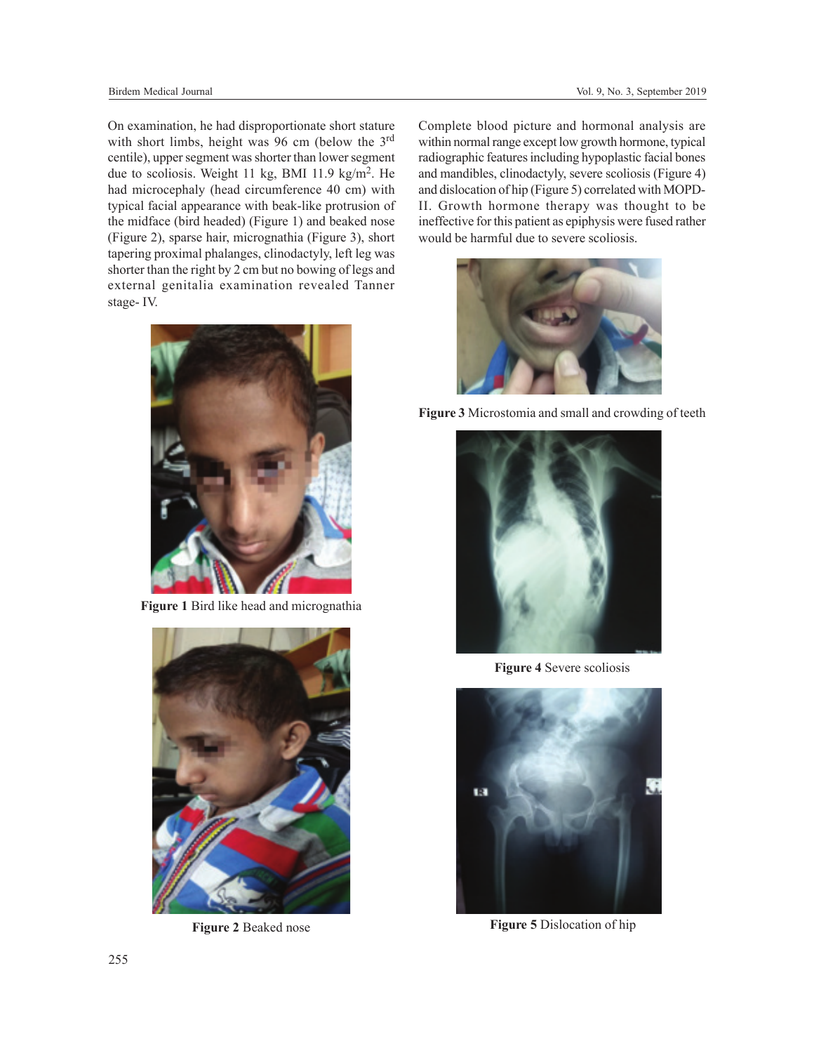On examination, he had disproportionate short stature with short limbs, height was 96 cm (below the 3<sup>rd</sup> centile), upper segment was shorter than lower segment due to scoliosis. Weight 11 kg, BMI 11.9 kg/m<sup>2</sup>. He had microcephaly (head circumference 40 cm) with typical facial appearance with beak-like protrusion of the midface (bird headed) (Figure 1) and beaked nose (Figure 2), sparse hair, micrognathia (Figure 3), short tapering proximal phalanges, clinodactyly, left leg was shorter than the right by 2 cm but no bowing of legs and external genitalia examination revealed Tanner stage- IV.



**Figure 1** Bird like head and micrognathia



**Figure 2** Beaked nose

Complete blood picture and hormonal analysis are within normal range except low growth hormone, typical radiographic features including hypoplastic facial bones and mandibles, clinodactyly, severe scoliosis (Figure 4) and dislocation of hip (Figure 5) correlated with MOPD-II. Growth hormone therapy was thought to be ineffective for this patient as epiphysis were fused rather would be harmful due to severe scoliosis.



**Figure 3** Microstomia and small and crowding of teeth



**Figure 4** Severe scoliosis



**Figure 5** Dislocation of hip